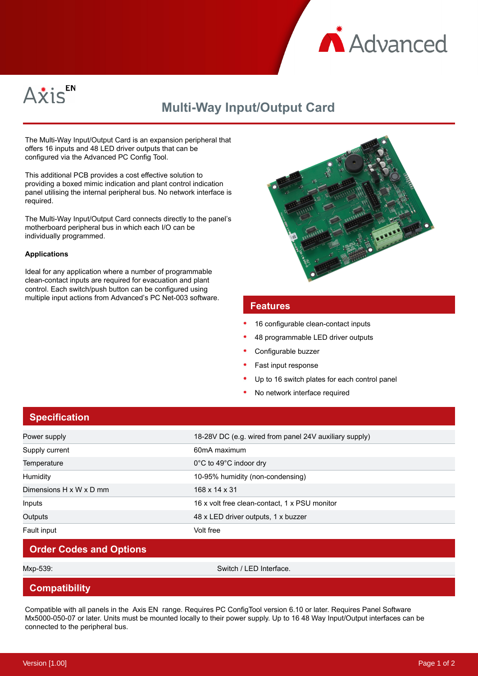



# **Multi-Way Input/Output Card**

The Multi-Way Input/Output Card is an expansion peripheral that offers 16 inputs and 48 LED driver outputs that can be configured via the Advanced PC Config Tool.

This additional PCB provides a cost effective solution to providing a boxed mimic indication and plant control indication panel utilising the internal peripheral bus. No network interface is required.

The Multi-Way Input/Output Card connects directly to the panel's motherboard peripheral bus in which each I/O can be individually programmed.

#### **Applications**

Ideal for any application where a number of programmable clean-contact inputs are required for evacuation and plant control. Each switch/push button can be configured using multiple input actions from Advanced's PC Net-003 software.



#### **Features**

- 16 configurable clean-contact inputs
- 48 programmable LED driver outputs
- Configurable buzzer
- Fast input response
- Up to 16 switch plates for each control panel
- No network interface required

# **Specification**

| Power supply            | 18-28V DC (e.g. wired from panel 24V auxiliary supply) |
|-------------------------|--------------------------------------------------------|
| Supply current          | 60mA maximum                                           |
| Temperature             | 0°C to 49°C indoor dry                                 |
| <b>Humidity</b>         | 10-95% humidity (non-condensing)                       |
| Dimensions H x W x D mm | 168 x 14 x 31                                          |
| Inputs                  | 16 x volt free clean-contact, 1 x PSU monitor          |
| Outputs                 | 48 x LED driver outputs, 1 x buzzer                    |
| Fault input             | Volt free                                              |

# **Order Codes and Options**

Mxp-539: Switch / LED Interface.

## **Compatibility**

Compatible with all panels in the Axis EN range. Requires PC ConfigTool version 6.10 or later. Requires Panel Software Mx5000-050-07 or later. Units must be mounted locally to their power supply. Up to 16 48 Way Input/Output interfaces can be connected to the peripheral bus.